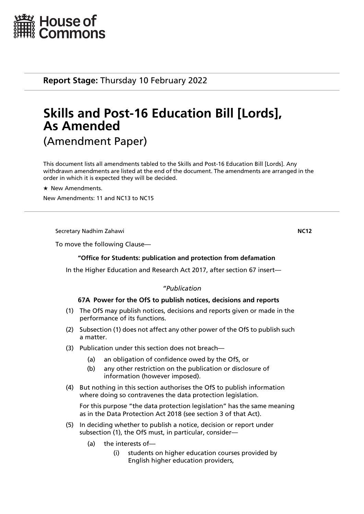

**Report Stage:** Thursday 10 February 2022

# **Skills and Post-16 Education Bill [Lords], As Amended** (Amendment Paper)

This document lists all amendments tabled to the Skills and Post-16 Education Bill [Lords]. Any withdrawn amendments are listed at the end of the document. The amendments are arranged in the order in which it is expected they will be decided.

 $\star$  New Amendments.

New Amendments: 11 and NC13 to NC15

Secretary Nadhim Zahawi **NC12**

To move the following Clause—

# **"Office for Students: publication and protection from defamation**

In the Higher Education and Research Act 2017, after section 67 insert—

# *"Publication*

# **67A Power for the OfS to publish notices, decisions and reports**

- (1) The OfS may publish notices, decisions and reports given or made in the performance of its functions.
- (2) Subsection (1) does not affect any other power of the OfS to publish such a matter.
- (3) Publication under this section does not breach—
	- (a) an obligation of confidence owed by the OfS, or
	- (b) any other restriction on the publication or disclosure of information (however imposed).
- (4) But nothing in this section authorises the OfS to publish information where doing so contravenes the data protection legislation.

For this purpose "the data protection legislation" has the same meaning as in the Data Protection Act 2018 (see section 3 of that Act).

- (5) In deciding whether to publish a notice, decision or report under subsection (1), the OfS must, in particular, consider—
	- (a) the interests of—
		- (i) students on higher education courses provided by English higher education providers,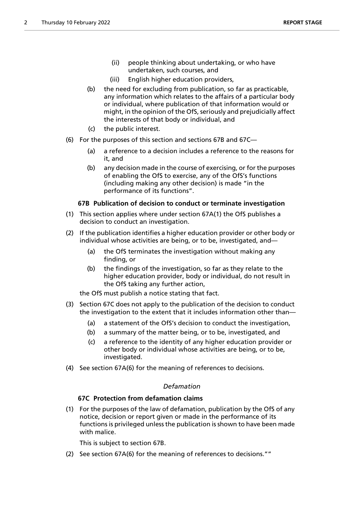- (ii) people thinking about undertaking, or who have undertaken, such courses, and
- (iii) English higher education providers,
- (b) the need for excluding from publication, so far as practicable, any information which relates to the affairs of a particular body or individual, where publication of that information would or might, in the opinion of the OfS, seriously and prejudicially affect the interests of that body or individual, and
- (c) the public interest.
- (6) For the purposes of this section and sections 67B and 67C—
	- (a) a reference to a decision includes a reference to the reasons for it, and
	- (b) any decision made in the course of exercising, or for the purposes of enabling the OfS to exercise, any of the OfS's functions (including making any other decision) is made "in the performance of its functions".

# **67B Publication of decision to conduct or terminate investigation**

- (1) This section applies where under section 67A(1) the OfS publishes a decision to conduct an investigation.
- (2) If the publication identifies a higher education provider or other body or individual whose activities are being, or to be, investigated, and—
	- (a) the OfS terminates the investigation without making any finding, or
	- (b) the findings of the investigation, so far as they relate to the higher education provider, body or individual, do not result in the OfS taking any further action,

the OfS must publish a notice stating that fact.

- (3) Section 67C does not apply to the publication of the decision to conduct the investigation to the extent that it includes information other than—
	- (a) a statement of the OfS's decision to conduct the investigation,
	- (b) a summary of the matter being, or to be, investigated, and
	- (c) a reference to the identity of any higher education provider or other body or individual whose activities are being, or to be, investigated.
- (4) See section 67A(6) for the meaning of references to decisions.

# *Defamation*

# **67C Protection from defamation claims**

(1) For the purposes of the law of defamation, publication by the OfS of any notice, decision or report given or made in the performance of its functions is privileged unless the publication is shown to have been made with malice.

This is subject to section 67B.

(2) See section 67A(6) for the meaning of references to decisions.""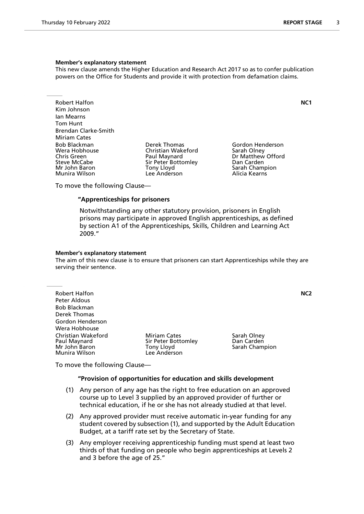#### **Member's explanatory statement**

This new clause amends the Higher Education and Research Act 2017 so as to confer publication powers on the Office for Students and provide it with protection from defamation claims.

Robert Halfon **NC1** Kim Johnson Ian Mearns Tom Hunt Brendan Clarke-Smith Miriam Cates<br>Bob Blackman Bob Blackman Derek Thomas Gordon Henderson Wera Hobhouse Christian Wakeford<br>
Chris Green Christian Olau Paul Maynard Steve McCabe Sir Peter Bottomley San Carden<br>1991 - Sarah Chammer Sarah Chammer Sarah Chammer Sarah Chammer Sarah Chammer Sarah Chammer Sarah Chammer Sarah Munira Wilson

Mony Lloyd **Sarah Champion**<br>
Lee Anderson Lee Anderson

Dr Matthew Offord

To move the following Clause—

# **"Apprenticeships for prisoners**

 Notwithstanding any other statutory provision, prisoners in English prisons may participate in approved English apprenticeships, as defined by section A1 of the Apprenticeships, Skills, Children and Learning Act 2009."

#### **Member's explanatory statement**

The aim of this new clause is to ensure that prisoners can start Apprenticeships while they are serving their sentence.

Robert Halfon **NC2** Peter Aldous Bob Blackman Derek Thomas Gordon Henderson Wera Hobhouse Christian Wakeford **Miriam Cates** Sarah Olney<br>
Paul Maynard **Miriam Cates Sir Peter Bottomley** Dan Carden Paul Maynard Sir Peter Bottomley Dan Carden Munira Wilson

Tony Lloyd **Sarah Champion**<br>Lee Anderson

To move the following Clause—

#### **"Provision of opportunities for education and skills development**

- (1) Any person of any age has the right to free education on an approved course up to Level 3 supplied by an approved provider of further or technical education, if he or she has not already studied at that level.
- (2) Any approved provider must receive automatic in-year funding for any student covered by subsection (1), and supported by the Adult Education Budget, at a tariff rate set by the Secretary of State.
- (3) Any employer receiving apprenticeship funding must spend at least two thirds of that funding on people who begin apprenticeships at Levels 2 and 3 before the age of 25."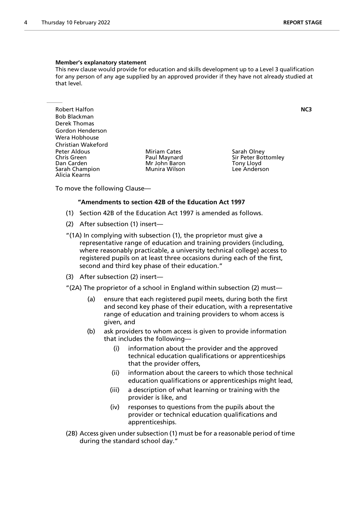#### **Member's explanatory statement**

This new clause would provide for education and skills development up to a Level 3 qualification for any person of any age supplied by an approved provider if they have not already studied at that level.

Robert Halfon **NC3** Bob Blackman Derek Thomas Gordon Henderson Wera Hobhouse Christian Wakeford Peter Aldous **Miriam Cates** Sarah Olney<br>
Chris Green **Sarah Olney Chris Chris Chris Creen** Sir Peter Bot Chris Green The Paul Maynard Sir Peter Bottomley<br>
Dan Carden The Sir Peter Bottomley<br>
Mr John Baron The Sir Peter Bottomley Sarah Champion Alicia Kearns

Mr John Baron Tony Lloyd<br>Munira Wilson The Lee Anderson

To move the following Clause—

#### **"Amendments to section 42B of the Education Act 1997**

- (1) Section 42B of the Education Act 1997 is amended as follows.
- (2) After subsection (1) insert—
- "(1A) In complying with subsection (1), the proprietor must give a representative range of education and training providers (including, where reasonably practicable, a university technical college) access to registered pupils on at least three occasions during each of the first, second and third key phase of their education."
- (3) After subsection (2) insert—
- "(2A) The proprietor of a school in England within subsection (2) must—
	- (a) ensure that each registered pupil meets, during both the first and second key phase of their education, with a representative range of education and training providers to whom access is given, and
	- (b) ask providers to whom access is given to provide information that includes the following—
		- (i) information about the provider and the approved technical education qualifications or apprenticeships that the provider offers,
		- (ii) information about the careers to which those technical education qualifications or apprenticeships might lead,
		- (iii) a description of what learning or training with the provider is like, and
		- (iv) responses to questions from the pupils about the provider or technical education qualifications and apprenticeships.
- (2B) Access given under subsection (1) must be for a reasonable period of time during the standard school day."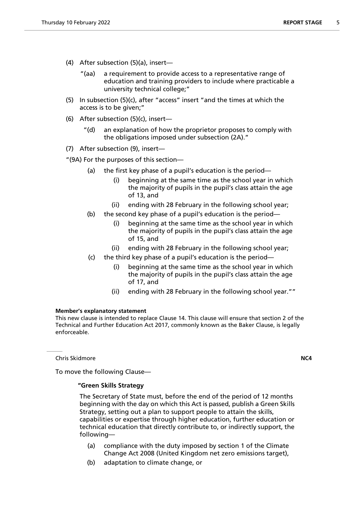- (4) After subsection (5)(a), insert—
	- "(aa) a requirement to provide access to a representative range of education and training providers to include where practicable a university technical college;"
- (5) In subsection (5)(c), after "access" insert "and the times at which the access is to be given;"
- (6) After subsection (5)(c), insert—
	- "(d) an explanation of how the proprietor proposes to comply with the obligations imposed under subsection (2A)."
- (7) After subsection (9), insert—

"(9A) For the purposes of this section—

- (a) the first key phase of a pupil's education is the period—
	- (i) beginning at the same time as the school year in which the majority of pupils in the pupil's class attain the age of 13, and
	- (ii) ending with 28 February in the following school year;
- (b) the second key phase of a pupil's education is the period—
	- (i) beginning at the same time as the school year in which the majority of pupils in the pupil's class attain the age of 15, and
	- (ii) ending with 28 February in the following school year;
- (c) the third key phase of a pupil's education is the period
	- beginning at the same time as the school year in which the majority of pupils in the pupil's class attain the age of 17, and
	- (ii) ending with 28 February in the following school year.""

#### **Member's explanatory statement**

This new clause is intended to replace Clause 14. This clause will ensure that section 2 of the Technical and Further Education Act 2017, commonly known as the Baker Clause, is legally enforceable.

Chris Skidmore **NC4**

To move the following Clause—

#### **"Green Skills Strategy**

 The Secretary of State must, before the end of the period of 12 months beginning with the day on which this Act is passed, publish a Green Skills Strategy, setting out a plan to support people to attain the skills, capabilities or expertise through higher education, further education or technical education that directly contribute to, or indirectly support, the following—

- (a) compliance with the duty imposed by section 1 of the Climate Change Act 2008 (United Kingdom net zero emissions target),
- (b) adaptation to climate change, or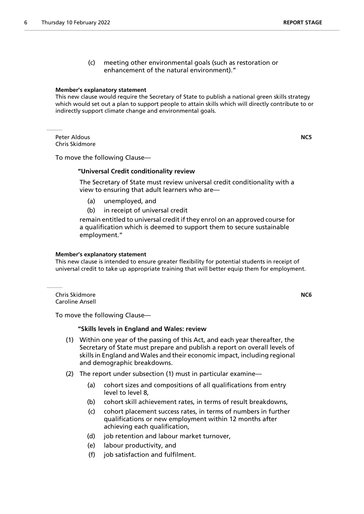(c) meeting other environmental goals (such as restoration or enhancement of the natural environment)."

#### **Member's explanatory statement**

This new clause would require the Secretary of State to publish a national green skills strategy which would set out a plan to support people to attain skills which will directly contribute to or indirectly support climate change and environmental goals.

Peter Aldous **NC5** Chris Skidmore

To move the following Clause—

#### **"Universal Credit conditionality review**

 The Secretary of State must review universal credit conditionality with a view to ensuring that adult learners who are—

- (a) unemployed, and
- (b) in receipt of universal credit

remain entitled to universal credit if they enrol on an approved course for a qualification which is deemed to support them to secure sustainable employment."

#### **Member's explanatory statement**

This new clause is intended to ensure greater flexibility for potential students in receipt of universal credit to take up appropriate training that will better equip them for employment.

Chris Skidmore **NC6** Caroline Ansell

To move the following Clause—

#### **"Skills levels in England and Wales: review**

- (1) Within one year of the passing of this Act, and each year thereafter, the Secretary of State must prepare and publish a report on overall levels of skills in England and Wales and their economic impact, including regional and demographic breakdowns.
- (2) The report under subsection (1) must in particular examine—
	- (a) cohort sizes and compositions of all qualifications from entry level to level 8,
	- (b) cohort skill achievement rates, in terms of result breakdowns,
	- (c) cohort placement success rates, in terms of numbers in further qualifications or new employment within 12 months after achieving each qualification,
	- (d) job retention and labour market turnover,
	- (e) labour productivity, and
	- (f) job satisfaction and fulfilment.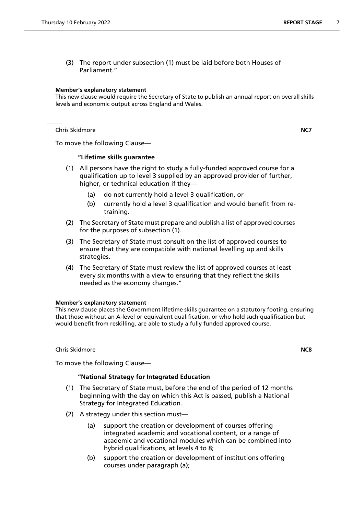(3) The report under subsection (1) must be laid before both Houses of Parliament."

# **Member's explanatory statement**

This new clause would require the Secretary of State to publish an annual report on overall skills levels and economic output across England and Wales.

Chris Skidmore **NC7**

To move the following Clause—

# **"Lifetime skills guarantee**

- (1) All persons have the right to study a fully-funded approved course for a qualification up to level 3 supplied by an approved provider of further, higher, or technical education if they—
	- (a) do not currently hold a level 3 qualification, or
	- (b) currently hold a level 3 qualification and would benefit from retraining.
- (2) The Secretary of State must prepare and publish a list of approved courses for the purposes of subsection (1).
- (3) The Secretary of State must consult on the list of approved courses to ensure that they are compatible with national levelling up and skills strategies.
- (4) The Secretary of State must review the list of approved courses at least every six months with a view to ensuring that they reflect the skills needed as the economy changes."

# **Member's explanatory statement**

This new clause places the Government lifetime skills guarantee on a statutory footing, ensuring that those without an A-level or equivalent qualification, or who hold such qualification but would benefit from reskilling, are able to study a fully funded approved course.

Chris Skidmore **NC8**

# To move the following Clause—

# **"National Strategy for Integrated Education**

- (1) The Secretary of State must, before the end of the period of 12 months beginning with the day on which this Act is passed, publish a National Strategy for Integrated Education.
- (2) A strategy under this section must—
	- (a) support the creation or development of courses offering integrated academic and vocational content, or a range of academic and vocational modules which can be combined into hybrid qualifications, at levels 4 to 8;
	- (b) support the creation or development of institutions offering courses under paragraph (a);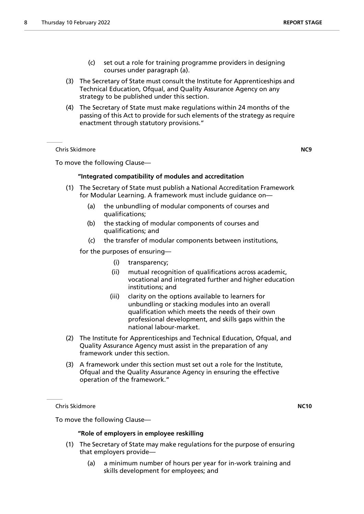- (c) set out a role for training programme providers in designing courses under paragraph (a).
- (3) The Secretary of State must consult the Institute for Apprenticeships and Technical Education, Ofqual, and Quality Assurance Agency on any strategy to be published under this section.
- (4) The Secretary of State must make regulations within 24 months of the passing of this Act to provide for such elements of the strategy as require enactment through statutory provisions."

Chris Skidmore **NC9**

To move the following Clause—

# **"Integrated compatibility of modules and accreditation**

- (1) The Secretary of State must publish a National Accreditation Framework for Modular Learning. A framework must include guidance on—
	- (a) the unbundling of modular components of courses and qualifications;
	- (b) the stacking of modular components of courses and qualifications; and
	- (c) the transfer of modular components between institutions,

for the purposes of ensuring—

- (i) transparency;
- (ii) mutual recognition of qualifications across academic, vocational and integrated further and higher education institutions; and
- (iii) clarity on the options available to learners for unbundling or stacking modules into an overall qualification which meets the needs of their own professional development, and skills gaps within the national labour-market.
- (2) The Institute for Apprenticeships and Technical Education, Ofqual, and Quality Assurance Agency must assist in the preparation of any framework under this section.
- (3) A framework under this section must set out a role for the Institute, Ofqual and the Quality Assurance Agency in ensuring the effective operation of the framework."

Chris Skidmore **NC10**

To move the following Clause—

# **"Role of employers in employee reskilling**

- (1) The Secretary of State may make regulations for the purpose of ensuring that employers provide—
	- (a) a minimum number of hours per year for in-work training and skills development for employees; and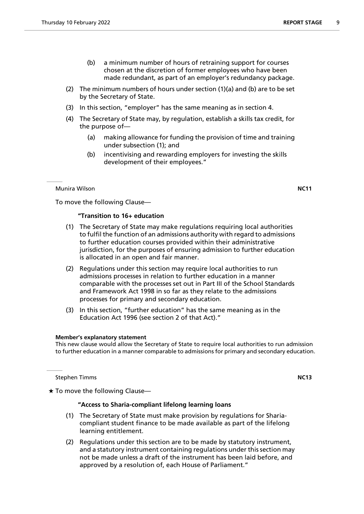- (b) a minimum number of hours of retraining support for courses chosen at the discretion of former employees who have been made redundant, as part of an employer's redundancy package.
- (2) The minimum numbers of hours under section (1)(a) and (b) are to be set by the Secretary of State.
- (3) In this section, "employer" has the same meaning as in section 4.
- (4) The Secretary of State may, by regulation, establish a skills tax credit, for the purpose of—
	- (a) making allowance for funding the provision of time and training under subsection (1); and
	- (b) incentivising and rewarding employers for investing the skills development of their employees."

# Munira Wilson **NC11**

To move the following Clause—

# **"Transition to 16+ education**

- (1) The Secretary of State may make regulations requiring local authorities to fulfil the function of an admissions authority with regard to admissions to further education courses provided within their administrative jurisdiction, for the purposes of ensuring admission to further education is allocated in an open and fair manner.
- (2) Regulations under this section may require local authorities to run admissions processes in relation to further education in a manner comparable with the processes set out in Part III of the School Standards and Framework Act 1998 in so far as they relate to the admissions processes for primary and secondary education.
- (3) In this section, "further education" has the same meaning as in the Education Act 1996 (see section 2 of that Act)."

#### **Member's explanatory statement**

This new clause would allow the Secretary of State to require local authorities to run admission to further education in a manner comparable to admissions for primary and secondary education.

**Stephen Timms NC13** 

 $\star$  To move the following Clause—

# **"Access to Sharia-compliant lifelong learning loans**

- (1) The Secretary of State must make provision by regulations for Shariacompliant student finance to be made available as part of the lifelong learning entitlement.
- (2) Regulations under this section are to be made by statutory instrument, and a statutory instrument containing regulations under this section may not be made unless a draft of the instrument has been laid before, and approved by a resolution of, each House of Parliament."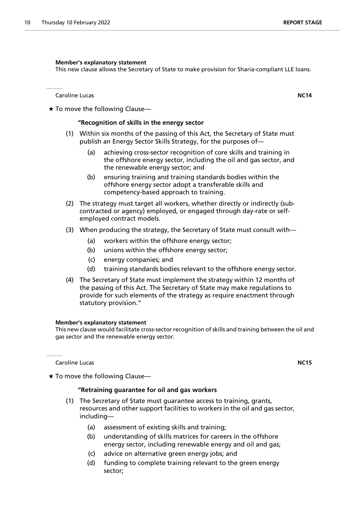#### **Member's explanatory statement**

This new clause allows the Secretary of State to make provision for Sharia-compliant LLE loans.

Caroline Lucas **NC14**

 $\star$  To move the following Clause—

# **"Recognition of skills in the energy sector**

- (1) Within six months of the passing of this Act, the Secretary of State must publish an Energy Sector Skills Strategy, for the purposes of—
	- (a) achieving cross-sector recognition of core skills and training in the offshore energy sector, including the oil and gas sector, and the renewable energy sector; and
	- (b) ensuring training and training standards bodies within the offshore energy sector adopt a transferable skills and competency-based approach to training.
- (2) The strategy must target all workers, whether directly or indirectly (subcontracted or agency) employed, or engaged through day-rate or selfemployed contract models.
- (3) When producing the strategy, the Secretary of State must consult with—
	- (a) workers within the offshore energy sector;
	- (b) unions within the offshore energy sector;
	- (c) energy companies; and
	- (d) training standards bodies relevant to the offshore energy sector.
- (4) The Secretary of State must implement the strategy within 12 months of the passing of this Act. The Secretary of State may make regulations to provide for such elements of the strategy as require enactment through statutory provision."

# **Member's explanatory statement**

This new clause would facilitate cross-sector recognition of skills and training between the oil and gas sector and the renewable energy sector.

Caroline Lucas **NC15**

 $\star$  To move the following Clause—

#### **"Retraining guarantee for oil and gas workers**

- (1) The Secretary of State must guarantee access to training, grants, resources and other support facilities to workers in the oil and gas sector, including—
	- (a) assessment of existing skills and training;
	- (b) understanding of skills matrices for careers in the offshore energy sector, including renewable energy and oil and gas;
	- (c) advice on alternative green energy jobs; and
	- (d) funding to complete training relevant to the green energy sector;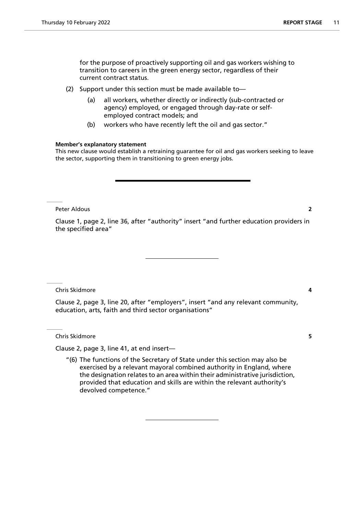for the purpose of proactively supporting oil and gas workers wishing to transition to careers in the green energy sector, regardless of their current contract status.

- (2) Support under this section must be made available to—
	- (a) all workers, whether directly or indirectly (sub-contracted or agency) employed, or engaged through day-rate or selfemployed contract models; and
	- (b) workers who have recently left the oil and gas sector."

#### **Member's explanatory statement**

This new clause would establish a retraining guarantee for oil and gas workers seeking to leave the sector, supporting them in transitioning to green energy jobs.

Peter Aldous **2**

Clause 1, page 2, line 36, after "authority" insert "and further education providers in the specified area"

Chris Skidmore **4**

Clause 2, page 3, line 20, after "employers", insert "and any relevant community, education, arts, faith and third sector organisations"

Chris Skidmore **5**

Clause 2, page 3, line 41, at end insert—

"(6) The functions of the Secretary of State under this section may also be exercised by a relevant mayoral combined authority in England, where the designation relates to an area within their administrative jurisdiction, provided that education and skills are within the relevant authority's devolved competence."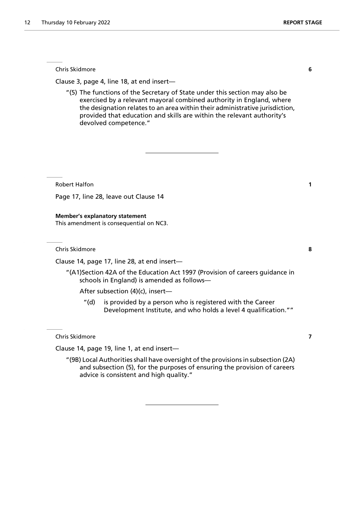Chris Skidmore **6**

Clause 3, page 4, line 18, at end insert—

"(5) The functions of the Secretary of State under this section may also be exercised by a relevant mayoral combined authority in England, where the designation relates to an area within their administrative jurisdiction, provided that education and skills are within the relevant authority's devolved competence."

Robert Halfon **1**

Page 17, line 28, leave out Clause 14

**Member's explanatory statement** This amendment is consequential on NC3.

Chris Skidmore **8**

Clause 14, page 17, line 28, at end insert—

"(A1)Section 42A of the Education Act 1997 (Provision of careers guidance in schools in England) is amended as follows—

After subsection (4)(c), insert—

"(d) is provided by a person who is registered with the Career Development Institute, and who holds a level 4 qualification.""

Chris Skidmore **7**

Clause 14, page 19, line 1, at end insert—

"(9B) Local Authorities shall have oversight of the provisions in subsection (2A) and subsection (5), for the purposes of ensuring the provision of careers advice is consistent and high quality."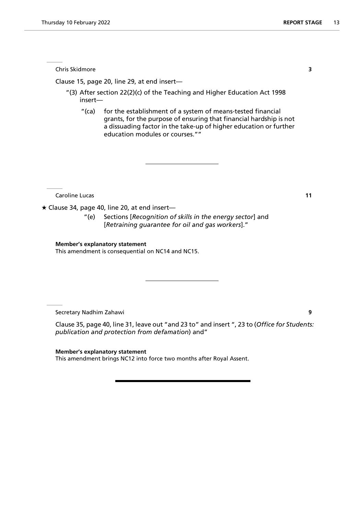Chris Skidmore **3**

Clause 15, page 20, line 29, at end insert—

- "(3) After section 22(2)(c) of the Teaching and Higher Education Act 1998 insert—
	- "(ca) for the establishment of a system of means-tested financial grants, for the purpose of ensuring that financial hardship is not a dissuading factor in the take-up of higher education or further education modules or courses.""

**Caroline Lucas 11** 

 $\star$  Clause 34, page 40, line 20, at end insert-

"(e) Sections [*Recognition of skills in the energy sector*] and [*Retraining guarantee for oil and gas workers*]."

# **Member's explanatory statement**

This amendment is consequential on NC14 and NC15.

Secretary Nadhim Zahawi **9**

Clause 35, page 40, line 31, leave out "and 23 to" and insert ", 23 to (*Office for Students: publication and protection from defamation*) and"

**Member's explanatory statement** This amendment brings NC12 into force two months after Royal Assent.